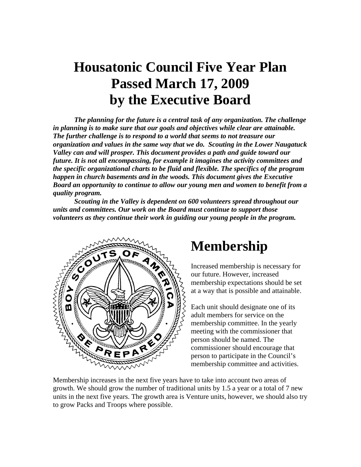# **Housatonic Council Five Year Plan Passed March 17, 2009 by the Executive Board**

*The planning for the future is a central task of any organization. The challenge in planning is to make sure that our goals and objectives while clear are attainable. The further challenge is to respond to a world that seems to not treasure our organization and values in the same way that we do. Scouting in the Lower Naugatuck Valley can and will prosper. This document provides a path and guide toward our future. It is not all encompassing, for example it imagines the activity committees and the specific organizational charts to be fluid and flexible. The specifics of the program happen in church basements and in the woods. This document gives the Executive Board an opportunity to continue to allow our young men and women to benefit from a quality program.* 

 *Scouting in the Valley is dependent on 600 volunteers spread throughout our units and committees. Our work on the Board must continue to support those volunteers as they continue their work in guiding our young people in the program.* 



### **Membership**

Increased membership is necessary for our future. However, increased membership expectations should be set at a way that is possible and attainable.

Each unit should designate one of its adult members for service on the membership committee. In the yearly meeting with the commissioner that person should be named. The commissioner should encourage that person to participate in the Council's membership committee and activities.

Membership increases in the next five years have to take into account two areas of growth. We should grow the number of traditional units by 1.5 a year or a total of 7 new units in the next five years. The growth area is Venture units, however, we should also try to grow Packs and Troops where possible.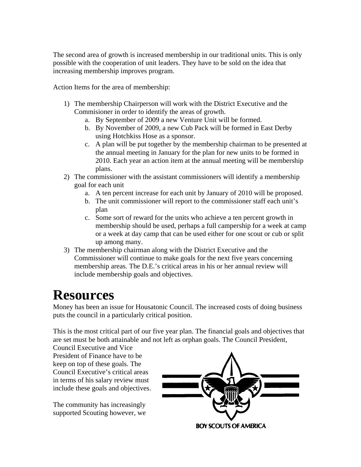The second area of growth is increased membership in our traditional units. This is only possible with the cooperation of unit leaders. They have to be sold on the idea that increasing membership improves program.

Action Items for the area of membership:

- 1) The membership Chairperson will work with the District Executive and the Commisioner in order to identify the areas of growth.
	- a. By September of 2009 a new Venture Unit will be formed.
	- b. By November of 2009, a new Cub Pack will be formed in East Derby using Hotchkiss Hose as a sponsor.
	- c. A plan will be put together by the membership chairman to be presented at the annual meeting in January for the plan for new units to be formed in 2010. Each year an action item at the annual meeting will be membership plans.
- 2) The commissioner with the assistant commissioners will identify a membership goal for each unit
	- a. A ten percent increase for each unit by January of 2010 will be proposed.
	- b. The unit commissioner will report to the commissioner staff each unit's plan
	- c. Some sort of reward for the units who achieve a ten percent growth in membership should be used, perhaps a full campership for a week at camp or a week at day camp that can be used either for one scout or cub or split up among many.
- 3) The membership chairman along with the District Executive and the Commissioner will continue to make goals for the next five years concerning membership areas. The D.E.'s critical areas in his or her annual review will include membership goals and objectives.

## **Resources**

Money has been an issue for Housatonic Council. The increased costs of doing business puts the council in a particularly critical position.

This is the most critical part of our five year plan. The financial goals and objectives that are set must be both attainable and not left as orphan goals. The Council President,

Council Executive and Vice President of Finance have to be keep on top of these goals. The Council Executive's critical areas in terms of his salary review must include these goals and objectives.

The community has increasingly supported Scouting however, we

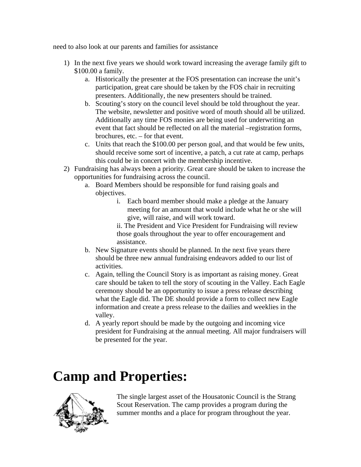need to also look at our parents and families for assistance

- 1) In the next five years we should work toward increasing the average family gift to \$100.00 a family.
	- a. Historically the presenter at the FOS presentation can increase the unit's participation, great care should be taken by the FOS chair in recruiting presenters. Additionally, the new presenters should be trained.
	- b. Scouting's story on the council level should be told throughout the year. The website, newsletter and positive word of mouth should all be utilized. Additionally any time FOS monies are being used for underwriting an event that fact should be reflected on all the material –registration forms, brochures, etc. – for that event.
	- c. Units that reach the \$100.00 per person goal, and that would be few units, should receive some sort of incentive, a patch, a cut rate at camp, perhaps this could be in concert with the membership incentive.
- 2) Fundraising has always been a priority. Great care should be taken to increase the opportunities for fundraising across the council.
	- a. Board Members should be responsible for fund raising goals and objectives.
		- i. Each board member should make a pledge at the January meeting for an amount that would include what he or she will give, will raise, and will work toward.

ii. The President and Vice President for Fundraising will review those goals throughout the year to offer encouragement and assistance.

- b. New Signature events should be planned. In the next five years there should be three new annual fundraising endeavors added to our list of activities.
- c. Again, telling the Council Story is as important as raising money. Great care should be taken to tell the story of scouting in the Valley. Each Eagle ceremony should be an opportunity to issue a press release describing what the Eagle did. The DE should provide a form to collect new Eagle information and create a press release to the dailies and weeklies in the valley.
- d. A yearly report should be made by the outgoing and incoming vice president for Fundraising at the annual meeting. All major fundraisers will be presented for the year.

# **Camp and Properties:**



The single largest asset of the Housatonic Council is the Strang Scout Reservation. The camp provides a program during the summer months and a place for program throughout the year.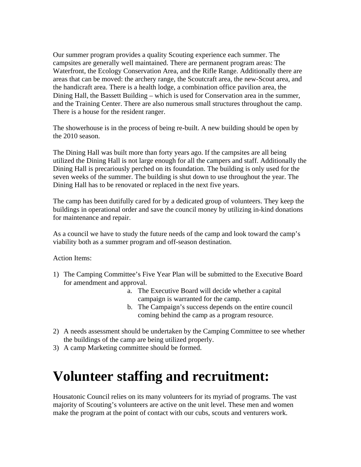Our summer program provides a quality Scouting experience each summer. The campsites are generally well maintained. There are permanent program areas: The Waterfront, the Ecology Conservation Area, and the Rifle Range. Additionally there are areas that can be moved: the archery range, the Scoutcraft area, the new-Scout area, and the handicraft area. There is a health lodge, a combination office pavilion area, the Dining Hall, the Bassett Building – which is used for Conservation area in the summer, and the Training Center. There are also numerous small structures throughout the camp. There is a house for the resident ranger.

The showerhouse is in the process of being re-built. A new building should be open by the 2010 season.

The Dining Hall was built more than forty years ago. If the campsites are all being utilized the Dining Hall is not large enough for all the campers and staff. Additionally the Dining Hall is precariously perched on its foundation. The building is only used for the seven weeks of the summer. The building is shut down to use throughout the year. The Dining Hall has to be renovated or replaced in the next five years.

The camp has been dutifully cared for by a dedicated group of volunteers. They keep the buildings in operational order and save the council money by utilizing in-kind donations for maintenance and repair.

As a council we have to study the future needs of the camp and look toward the camp's viability both as a summer program and off-season destination.

Action Items:

- 1) The Camping Committee's Five Year Plan will be submitted to the Executive Board for amendment and approval.
	- a. The Executive Board will decide whether a capital campaign is warranted for the camp.
	- b. The Campaign's success depends on the entire council coming behind the camp as a program resource.
- 2) A needs assessment should be undertaken by the Camping Committee to see whether the buildings of the camp are being utilized properly.
- 3) A camp Marketing committee should be formed.

# **Volunteer staffing and recruitment:**

Housatonic Council relies on its many volunteers for its myriad of programs. The vast majority of Scouting's volunteers are active on the unit level. These men and women make the program at the point of contact with our cubs, scouts and venturers work.